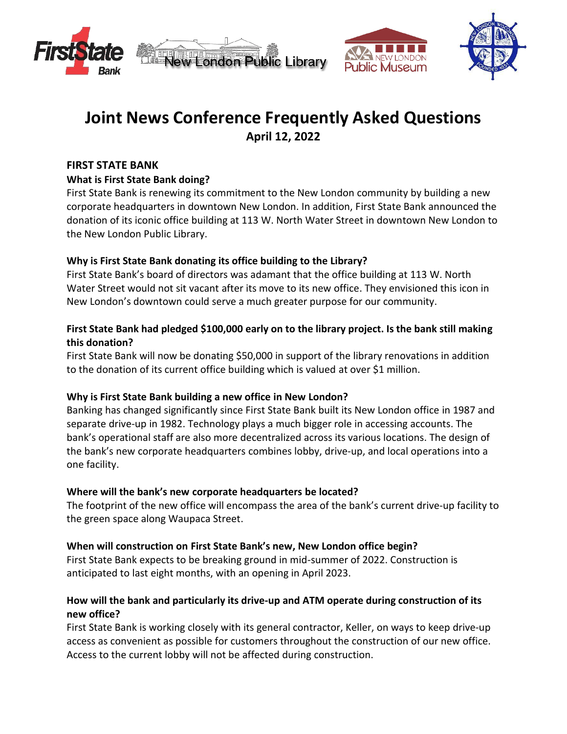





# **Joint News Conference Frequently Asked Questions April 12, 2022**

# **FIRST STATE BANK**

# **What is First State Bank doing?**

First State Bank is renewing its commitment to the New London community by building a new corporate headquarters in downtown New London. In addition, First State Bank announced the donation of its iconic office building at 113 W. North Water Street in downtown New London to the New London Public Library.

# **Why is First State Bank donating its office building to the Library?**

First State Bank's board of directors was adamant that the office building at 113 W. North Water Street would not sit vacant after its move to its new office. They envisioned this icon in New London's downtown could serve a much greater purpose for our community.

# **First State Bank had pledged \$100,000 early on to the library project. Is the bank still making this donation?**

First State Bank will now be donating \$50,000 in support of the library renovations in addition to the donation of its current office building which is valued at over \$1 million.

# **Why is First State Bank building a new office in New London?**

Banking has changed significantly since First State Bank built its New London office in 1987 and separate drive-up in 1982. Technology plays a much bigger role in accessing accounts. The bank's operational staff are also more decentralized across its various locations. The design of the bank's new corporate headquarters combines lobby, drive-up, and local operations into a one facility.

# **Where will the bank's new corporate headquarters be located?**

The footprint of the new office will encompass the area of the bank's current drive-up facility to the green space along Waupaca Street.

# **When will construction on First State Bank's new, New London office begin?**

First State Bank expects to be breaking ground in mid-summer of 2022. Construction is anticipated to last eight months, with an opening in April 2023.

# **How will the bank and particularly its drive-up and ATM operate during construction of its new office?**

First State Bank is working closely with its general contractor, Keller, on ways to keep drive-up access as convenient as possible for customers throughout the construction of our new office. Access to the current lobby will not be affected during construction.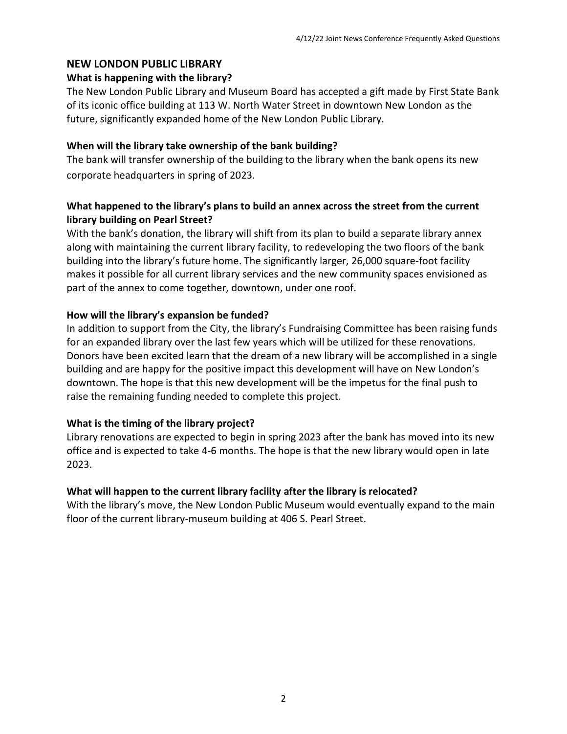#### **NEW LONDON PUBLIC LIBRARY**

#### **What is happening with the library?**

The New London Public Library and Museum Board has accepted a gift made by First State Bank of its iconic office building at 113 W. North Water Street in downtown New London as the future, significantly expanded home of the New London Public Library.

#### **When will the library take ownership of the bank building?**

The bank will transfer ownership of the building to the library when the bank opens its new corporate headquarters in spring of 2023.

# **What happened to the library's plans to build an annex across the street from the current library building on Pearl Street?**

With the bank's donation, the library will shift from its plan to build a separate library annex along with maintaining the current library facility, to redeveloping the two floors of the bank building into the library's future home. The significantly larger, 26,000 square-foot facility makes it possible for all current library services and the new community spaces envisioned as part of the annex to come together, downtown, under one roof.

#### **How will the library's expansion be funded?**

In addition to support from the City, the library's Fundraising Committee has been raising funds for an expanded library over the last few years which will be utilized for these renovations. Donors have been excited learn that the dream of a new library will be accomplished in a single building and are happy for the positive impact this development will have on New London's downtown. The hope is that this new development will be the impetus for the final push to raise the remaining funding needed to complete this project.

# **What is the timing of the library project?**

Library renovations are expected to begin in spring 2023 after the bank has moved into its new office and is expected to take 4-6 months. The hope is that the new library would open in late 2023.

# **What will happen to the current library facility after the library is relocated?**

With the library's move, the New London Public Museum would eventually expand to the main floor of the current library-museum building at 406 S. Pearl Street.